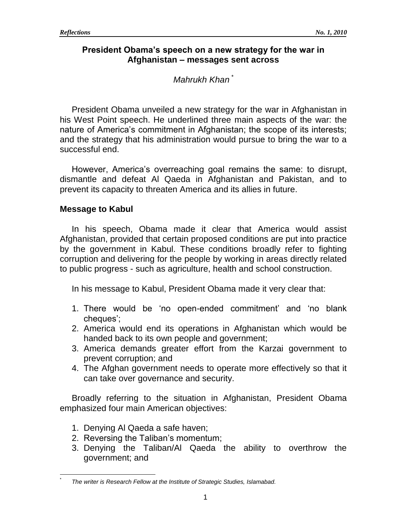## **President Obama's speech on a new strategy for the war in Afghanistan – messages sent across**

# *Mahrukh Khan \**

President Obama unveiled a new strategy for the war in Afghanistan in his West Point speech. He underlined three main aspects of the war: the nature of America's commitment in Afghanistan; the scope of its interests; and the strategy that his administration would pursue to bring the war to a successful end.

However, America's overreaching goal remains the same: to disrupt, dismantle and defeat Al Qaeda in Afghanistan and Pakistan, and to prevent its capacity to threaten America and its allies in future.

## **Message to Kabul**

In his speech, Obama made it clear that America would assist Afghanistan, provided that certain proposed conditions are put into practice by the government in Kabul. These conditions broadly refer to fighting corruption and delivering for the people by working in areas directly related to public progress - such as agriculture, health and school construction.

In his message to Kabul, President Obama made it very clear that:

- 1. There would be "no open-ended commitment" and "no blank cheques";
- 2. America would end its operations in Afghanistan which would be handed back to its own people and government;
- 3. America demands greater effort from the Karzai government to prevent corruption; and
- 4. The Afghan government needs to operate more effectively so that it can take over governance and security.

Broadly referring to the situation in Afghanistan, President Obama emphasized four main American objectives:

1. Denying Al Qaeda a safe haven;

 $\overline{a}$ \*

- 2. Reversing the Taliban"s momentum;
- 3. Denying the Taliban/Al Qaeda the ability to overthrow the government; and

*The writer is Research Fellow at the Institute of Strategic Studies, Islamabad.*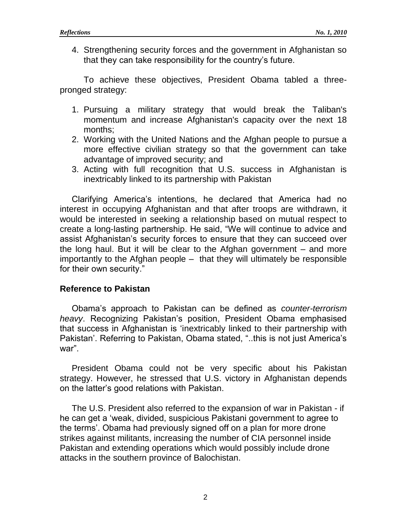4. Strengthening security forces and the government in Afghanistan so that they can take responsibility for the country"s future.

To achieve these objectives, President Obama tabled a threepronged strategy:

- 1. Pursuing a military strategy that would break the Taliban's momentum and increase Afghanistan's capacity over the next 18 months;
- 2. Working with the United Nations and the Afghan people to pursue a more effective civilian strategy so that the government can take advantage of improved security; and
- 3. Acting with full recognition that U.S. success in Afghanistan is inextricably linked to its partnership with Pakistan

Clarifying America"s intentions, he declared that America had no interest in occupying Afghanistan and that after troops are withdrawn, it would be interested in seeking a relationship based on mutual respect to create a long-lasting partnership. He said, "We will continue to advice and assist Afghanistan's security forces to ensure that they can succeed over the long haul. But it will be clear to the Afghan government – and more importantly to the Afghan people – that they will ultimately be responsible for their own security."

### **Reference to Pakistan**

Obama"s approach to Pakistan can be defined as *counter-terrorism heavy*. Recognizing Pakistan"s position, President Obama emphasised that success in Afghanistan is "inextricably linked to their partnership with Pakistan'. Referring to Pakistan, Obama stated, "..this is not just America's war".

President Obama could not be very specific about his Pakistan strategy. However, he stressed that U.S. victory in Afghanistan depends on the latter"s good relations with Pakistan.

The U.S. President also referred to the expansion of war in Pakistan - if he can get a "weak, divided, suspicious Pakistani government to agree to the terms". Obama had previously signed off on a plan for more drone strikes against militants, increasing the number of CIA personnel inside Pakistan and extending operations which would possibly include drone attacks in the southern province of Balochistan.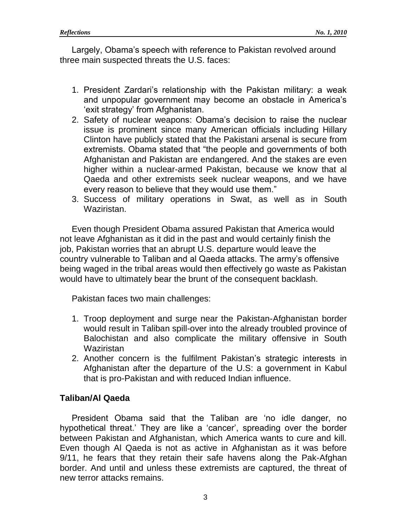Largely, Obama"s speech with reference to Pakistan revolved around three main suspected threats the U.S. faces:

- 1. President Zardari"s relationship with the Pakistan military: a weak and unpopular government may become an obstacle in America"s 'exit strategy' from Afghanistan.
- 2. Safety of nuclear weapons: Obama"s decision to raise the nuclear issue is prominent since many American officials including Hillary Clinton have publicly stated that the Pakistani arsenal is secure from extremists. Obama stated that "the people and governments of both Afghanistan and Pakistan are endangered. And the stakes are even higher within a nuclear-armed Pakistan, because we know that al Qaeda and other extremists seek nuclear weapons, and we have every reason to believe that they would use them."
- 3. Success of military operations in Swat, as well as in South Waziristan.

Even though President Obama assured Pakistan that America would not leave Afghanistan as it did in the past and would certainly finish the job, Pakistan worries that an abrupt U.S. departure would leave the country vulnerable to Taliban and al Qaeda attacks. The army"s offensive being waged in the tribal areas would then effectively go waste as Pakistan would have to ultimately bear the brunt of the consequent backlash.

Pakistan faces two main challenges:

- 1. Troop deployment and surge near the Pakistan-Afghanistan border would result in Taliban spill-over into the already troubled province of Balochistan and also complicate the military offensive in South **Waziristan**
- 2. Another concern is the fulfilment Pakistan's strategic interests in Afghanistan after the departure of the U.S: a government in Kabul that is pro-Pakistan and with reduced Indian influence.

# **Taliban/Al Qaeda**

President Obama said that the Taliban are "no idle danger, no hypothetical threat.' They are like a 'cancer', spreading over the border between Pakistan and Afghanistan, which America wants to cure and kill. Even though Al Qaeda is not as active in Afghanistan as it was before 9/11, he fears that they retain their safe havens along the Pak-Afghan border. And until and unless these extremists are captured, the threat of new terror attacks remains.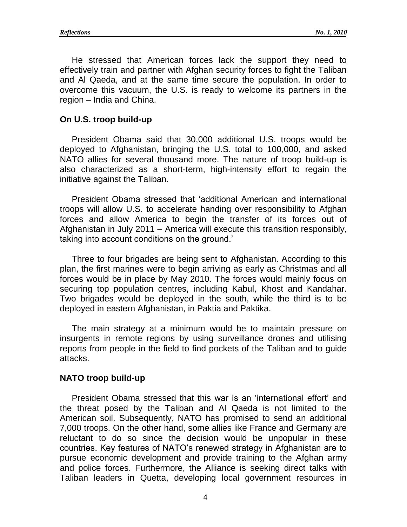He stressed that American forces lack the support they need to effectively train and partner with Afghan security forces to fight the Taliban and Al Qaeda, and at the same time secure the population. In order to overcome this vacuum, the U.S. is ready to welcome its partners in the region – India and China.

#### **On U.S. troop build-up**

President Obama said that 30,000 additional U.S. troops would be deployed to Afghanistan, bringing the U.S. total to 100,000, and asked NATO allies for several thousand more. The nature of troop build-up is also characterized as a short-term, high-intensity effort to regain the initiative against the Taliban.

President Obama stressed that "additional American and international troops will allow U.S. to accelerate handing over responsibility to Afghan forces and allow America to begin the transfer of its forces out of Afghanistan in July 2011 – America will execute this transition responsibly, taking into account conditions on the ground.'

Three to four brigades are being sent to Afghanistan. According to this plan, the first marines were to begin arriving as early as Christmas and all forces would be in place by May 2010. The forces would mainly focus on securing top population centres, including Kabul, Khost and Kandahar. Two brigades would be deployed in the south, while the third is to be deployed in eastern Afghanistan, in Paktia and Paktika.

The main strategy at a minimum would be to maintain pressure on insurgents in remote regions by using surveillance drones and utilising reports from people in the field to find pockets of the Taliban and to guide attacks.

#### **NATO troop build-up**

President Obama stressed that this war is an "international effort" and the threat posed by the Taliban and Al Qaeda is not limited to the American soil. Subsequently, NATO has promised to send an additional 7,000 troops. On the other hand, some allies like France and Germany are reluctant to do so since the decision would be unpopular in these countries. Key features of NATO"s renewed strategy in Afghanistan are to pursue economic development and provide training to the Afghan army and police forces. Furthermore, the Alliance is seeking direct talks with Taliban leaders in Quetta, developing local government resources in